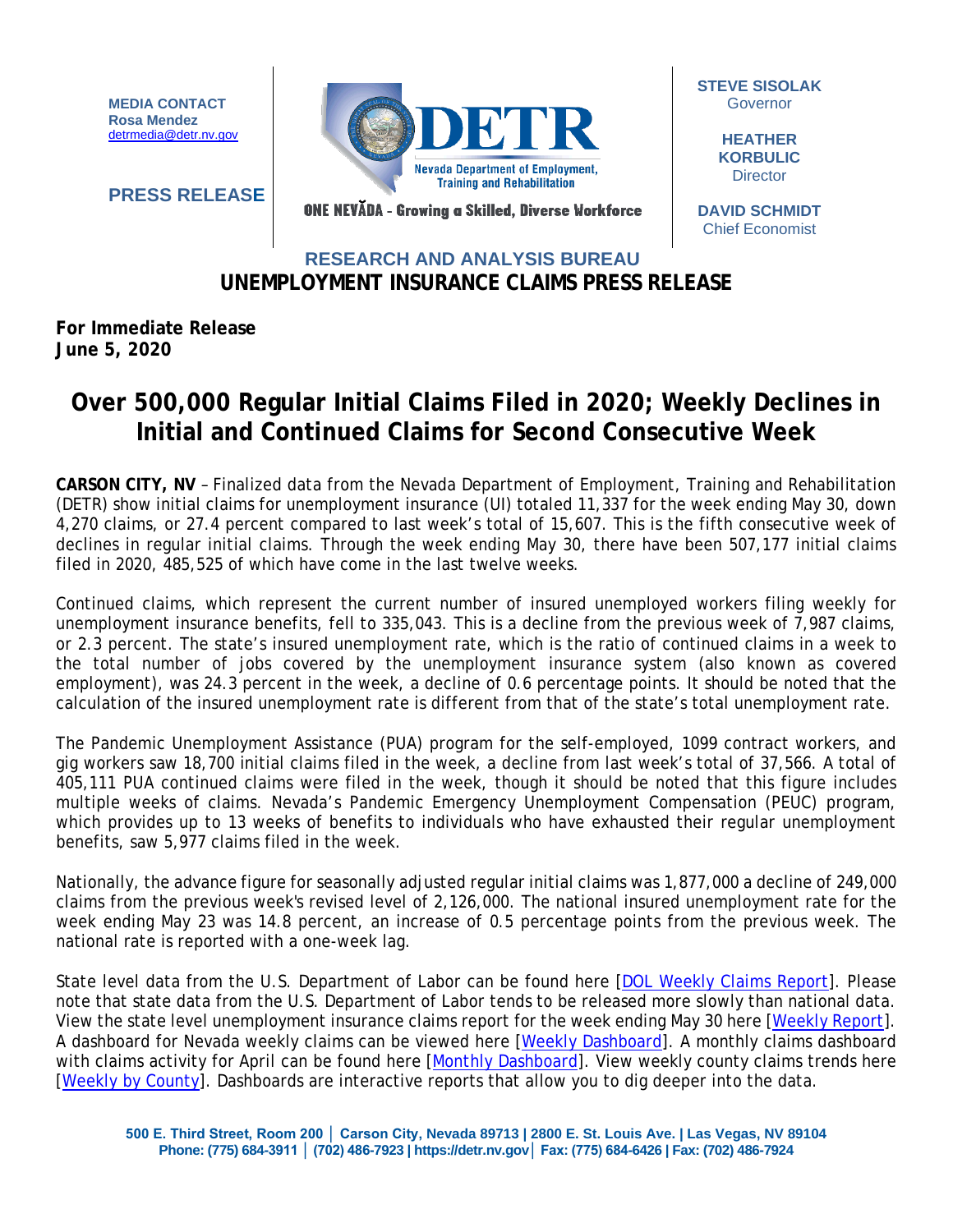**MEDIA CONTACT Rosa Mendez** [detrmedia@detr.nv.gov](mailto:detrmedia@detr.nv.gov)

**PRESS RELEASE**



**STEVE SISOLAK Governor** 

> **HEATHER KORBULIC Director**

ONE NEVĂDA - Growing a Skilled, Diverse Workforce

**DAVID SCHMIDT** Chief Economist

## **UNEMPLOYMENT INSURANCE CLAIMS PRESS RELEASE RESEARCH AND ANALYSIS BUREAU**

## **For Immediate Release June 5, 2020**

## **Over 500,000 Regular Initial Claims Filed in 2020; Weekly Declines in Initial and Continued Claims for Second Consecutive Week**

**CARSON CITY, NV** – Finalized data from the Nevada Department of Employment, Training and Rehabilitation (DETR) show initial claims for unemployment insurance (UI) totaled 11,337 for the week ending May 30, down 4,270 claims, or 27.4 percent compared to last week's total of 15,607. This is the fifth consecutive week of declines in regular initial claims. Through the week ending May 30, there have been 507,177 initial claims filed in 2020, 485,525 of which have come in the last twelve weeks.

Continued claims, which represent the current number of insured unemployed workers filing weekly for unemployment insurance benefits, fell to 335,043. This is a decline from the previous week of 7,987 claims, or 2.3 percent. The state's insured unemployment rate, which is the ratio of continued claims in a week to the total number of jobs covered by the unemployment insurance system (also known as covered employment), was 24.3 percent in the week, a decline of 0.6 percentage points. It should be noted that the calculation of the insured unemployment rate is different from that of the state's total unemployment rate.

The Pandemic Unemployment Assistance (PUA) program for the self-employed, 1099 contract workers, and gig workers saw 18,700 initial claims filed in the week, a decline from last week's total of 37,566. A total of 405,111 PUA continued claims were filed in the week, though it should be noted that this figure includes multiple weeks of claims. Nevada's Pandemic Emergency Unemployment Compensation (PEUC) program, which provides up to 13 weeks of benefits to individuals who have exhausted their regular unemployment benefits, saw 5,977 claims filed in the week.

Nationally, the advance figure for seasonally adjusted regular initial claims was 1,877,000 a decline of 249,000 claims from the previous week's revised level of 2,126,000. The national insured unemployment rate for the week ending May 23 was 14.8 percent, an increase of 0.5 percentage points from the previous week. The national rate is reported with a one-week lag.

State level data from the U.S. Department of Labor can be found here [\[DOL Weekly Claims Report\]](https://oui.doleta.gov/unemploy/claims_arch.asp). Please note that state data from the U.S. Department of Labor tends to be released more slowly than national data. View the state level unemployment insurance claims report for the week ending May 30 here [\[Weekly Report\]](http://nvlmi.mt.gov/Portals/197/UI%20Monthly%20Claims%20Press%20Release/Dashboards/State%20of%20Nevada%20UI%20Weekly%20Filing%20Report.pdf). A dashboard for Nevada weekly claims can be viewed here [\[Weekly Dashboard\]](http://nvlmi.mt.gov/Portals/197/UI%20Monthly%20Claims%20Press%20Release/Dashboards/UIWeeklyDashboard.html). A monthly claims dashboard with claims activity for April can be found here [\[Monthly Dashboard\]](http://nvlmi.mt.gov/Portals/197/UI%20Monthly%20Claims%20Press%20Release/Dashboards/UIMonthlyDashboard.html). View weekly county claims trends here [\[Weekly by County\]](http://nvlmi.mt.gov/Portals/197/UI%20Monthly%20Claims%20Press%20Release/Dashboards/UICountyTrends.html). Dashboards are interactive reports that allow you to dig deeper into the data.